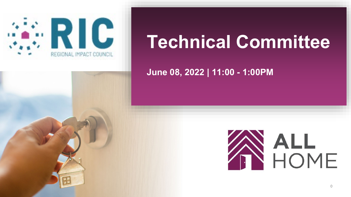

# **Technical Committee**

**June 08, 2022 | 11:00 - 1:00PM**

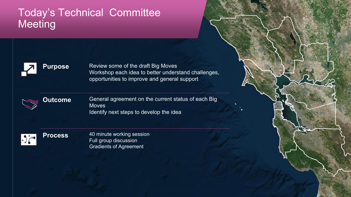### Today's Technical Committee **Meeting**



**Purpose** Review some of the draft Big Moves Workshop each idea to better understand challenges, opportunities to improve and general support

1



**Outcome** General agreement on the current status of each Big **Moves** Identify next steps to develop the idea



**Process** 40 minute working session Full group discussion Gradients of Agreement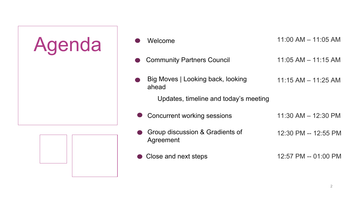

| Welcome                                      | $11:00$ AM $- 11:05$ AM |
|----------------------------------------------|-------------------------|
| <b>Community Partners Council</b>            | $11:05$ AM $- 11:15$ AM |
| Big Moves   Looking back, looking<br>ahead   | $11:15 AM - 11:25 AM$   |
| Updates, timeline and today's meeting        |                         |
| <b>Concurrent working sessions</b>           | $11:30$ AM $- 12:30$ PM |
| Group discussion & Gradients of<br>Agreement | 12:30 PM -- 12:55 PM    |
| Close and next steps                         | 12:57 PM -- 01:00 PM    |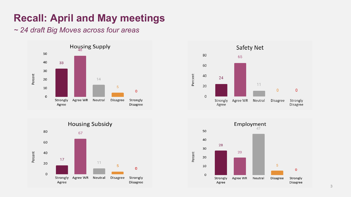# **Recall: April and May meetings**

#### *~ 24 draft Big Moves across four areas*







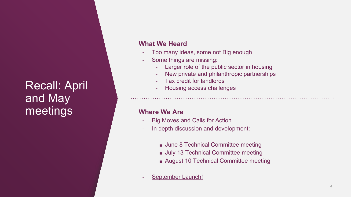# Recall: April and May meetings

#### **What We Heard**

- Too many ideas, some not Big enough
- Some things are missing:
	- Larger role of the public sector in housing
	- New private and philanthropic partnerships
	- Tax credit for landlords
	- Housing access challenges

#### **Where We Are**

- Big Moves and Calls for Action
- In depth discussion and development:
	- June 8 Technical Committee meeting
	- July 13 Technical Committee meeting
	- August 10 Technical Committee meeting
- September Launch!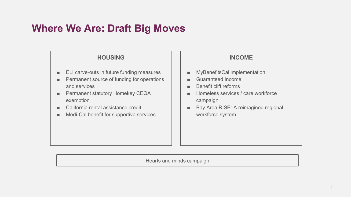### **Where We Are: Draft Big Moves**

#### **HOUSING**

- ELI carve-outs in future funding measures
- Permanent source of funding for operations and services
- Permanent statutory Homekey CEQA exemption
- California rental assistance credit
- Medi-Cal benefit for supportive services

#### **INCOME**

- MyBenefitsCal implementation
- Guaranteed Income
- Benefit cliff reforms
- Homeless services / care workforce campaign
- Bay Area RISE: A reimagined regional workforce system

Hearts and minds campaign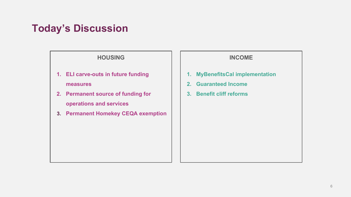## **Today's Discussion**

#### **HOUSING**

- **1. ELI carve-outs in future funding measures**
- **2. Permanent source of funding for operations and services**
- **3. Permanent Homekey CEQA exemption**

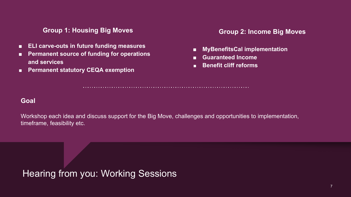#### **Group 1: Housing Big Moves**

- **ELI carve-outs in future funding measures**
- **Permanent source of funding for operations and services**
- **Permanent statutory CEQA exemption**

#### **Group 2: Income Big Moves**

- **MyBenefitsCal implementation**
- **Guaranteed Income**
- **Benefit cliff reforms**

#### **Goal**

Workshop each idea and discuss support for the Big Move, challenges and opportunities to implementation, timeframe, feasibility etc.

Hearing from you: Working Sessions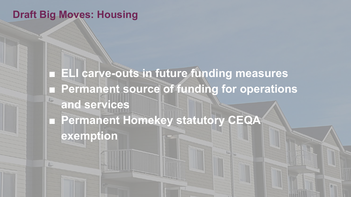### **Draft Big Moves: Housing**

**ELI carve-outs in future funding measures** ■ Permanent source of funding for operations **and services** ■ **Permanent Homekey statutory CEQA exemption**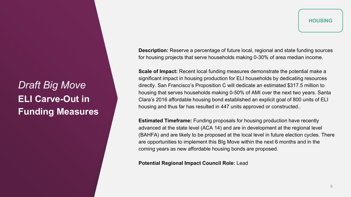*Draft Big Move* **ELI Carve-Out in Funding Measures**

**Description:** Reserve a percentage of future local, regional and state funding sources for housing projects that serve households making 0-30% of area median income.

**Scale of Impact:** Recent local funding measures demonstrate the potential make a significant impact in housing production for ELI households by dedicating resources directly. San Francisco's Proposition C will dedicate an estimated \$317.5 million to housing that serves households making 0-50% of AMI over the next two years. Santa Clara's 2016 affordable housing bond established an explicit goal of 800 units of ELI housing and thus far has resulted in 447 units approved or constructed..

**Estimated Timeframe:** Funding proposals for housing production have recently advanced at the state level (ACA 14) and are in development at the regional level (BAHFA) and are likely to be proposed at the local level in future election cycles. There are opportunities to implement this BIg Move within the next 6 months and in the coming years as new affordable housing bonds are proposed.

#### **Potential Regional Impact Council Role:** Lead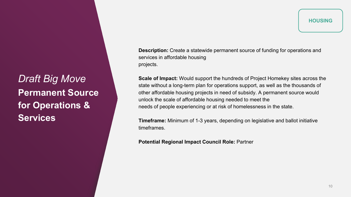*Draft Big Move* **Permanent Source for Operations & Services**

**Description:** Create a statewide permanent source of funding for operations and services in affordable housing projects.

**Scale of Impact:** Would support the hundreds of Project Homekey sites across the state without a long-term plan for operations support, as well as the thousands of other affordable housing projects in need of subsidy. A permanent source would unlock the scale of affordable housing needed to meet the needs of people experiencing or at risk of homelessness in the state.

**Timeframe:** Minimum of 1-3 years, depending on legislative and ballot initiative timeframes.

**Potential Regional Impact Council Role:** Partner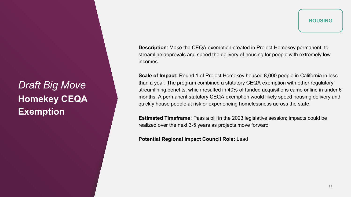*Draft Big Move* **Homekey CEQA Exemption**

**HOUSING** 

**Description**: Make the CEQA exemption created in Project Homekey permanent, to streamline approvals and speed the delivery of housing for people with extremely low incomes.

**Scale of Impact:** Round 1 of Project Homekey housed 8,000 people in California in less than a year. The program combined a statutory CEQA exemption with other regulatory streamlining benefits, which resulted in 40% of funded acquisitions came online in under 6 months. A permanent statutory CEQA exemption would likely speed housing delivery and quickly house people at risk or experiencing homelessness across the state.

**Estimated Timeframe:** Pass a bill in the 2023 legislative session; impacts could be realized over the next 3-5 years as projects move forward

**Potential Regional Impact Council Role:** Lead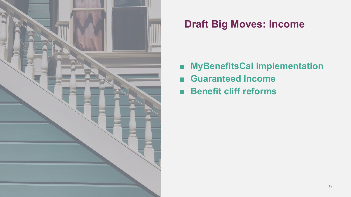

## **Draft Big Moves: Income**

- **MyBenefitsCal implementation**
- Guaranteed **Income**
- **Benefit cliff reforms**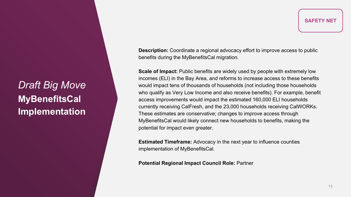*Draft Big Move* **MyBenefitsCal Implementation**

**Description:** Coordinate a regional advocacy effort to improve access to public benefits during the MyBenefitsCal migration.

**Scale of Impact:** Public benefits are widely used by people with extremely low incomes (ELI) in the Bay Area, and reforms to increase access to these benefits would impact tens of thousands of households (not including those households who qualify as Very Low Income and also receive benefits). For example, benefit access improvements would impact the estimated 160,000 ELI households currently receiving CalFresh, and the 23,000 households receiving CalWORKs. These estimates are conservative; changes to improve access through MyBenefitsCal would likely connect new households to benefits, making the potential for impact even greater.

**Estimated Timeframe:** Advocacy in the next year to influence counties implementation of MyBenefitsCal.

**Potential Regional Impact Council Role:** Partner

**SAFETY NET**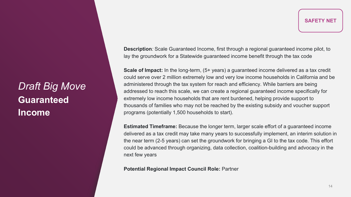**Description***:* Scale Guaranteed Income, first through a regional guaranteed income pilot, to lay the groundwork for a Statewide guaranteed income benefit through the tax code

**Scale of Impact:** In the long-term, (5+ years) a guaranteed income delivered as a tax credit could serve over 2 million extremely low and very low income households in California and be administered through the tax system for reach and efficiency. While barriers are being addressed to reach this scale, we can create a regional guaranteed income specifically for extremely low income households that are rent burdened, helping provide support to thousands of families who may not be reached by the existing subsidy and voucher support programs (potentially 1,500 households to start).

**Estimated Timeframe:** Because the longer term, larger scale effort of a guaranteed income delivered as a tax credit may take many years to successfully implement, an interim solution in the near term (2-5 years) can set the groundwork for bringing a GI to the tax code. This effort could be advanced through organizing, data collection, coalition-building and advocacy in the next few years

**Potential Regional Impact Council Role:** Partner

# *Draft Big Move* **Guaranteed Income**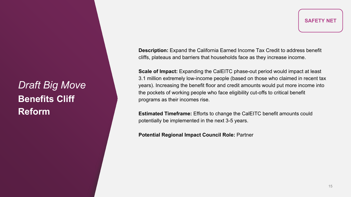*Draft Big Move* **Benefits Cliff Reform**

**Description:** Expand the California Earned Income Tax Credit to address benefit cliffs, plateaus and barriers that households face as they increase income.

**Scale of Impact:** Expanding the CalEITC phase-out period would impact at least 3.1 million extremely low-income people (based on those who claimed in recent tax years). Increasing the benefit floor and credit amounts would put more income into the pockets of working people who face eligibility cut-offs to critical benefit programs as their incomes rise.

**Estimated Timeframe:** Efforts to change the CalEITC benefit amounts could potentially be implemented in the next 3-5 years.

**Potential Regional Impact Council Role:** Partner

**SAFETY NET**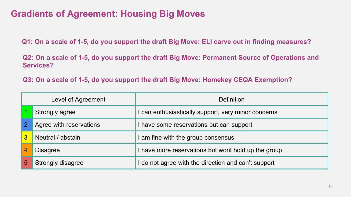### **Gradients of Agreement: Housing Big Moves**

**Q1: On a scale of 1-5, do you support the draft Big Move: ELI carve out in finding measures?** 

**Q2: On a scale of 1-5, do you support the draft Big Move: Permanent Source of Operations and Services?** 

**Q3: On a scale of 1-5, do you support the draft Big Move: Homekey CEQA Exemption?**

| Level of Agreement |                         | Definition                                        |  |
|--------------------|-------------------------|---------------------------------------------------|--|
|                    | Strongly agree          | can enthusiastically support, very minor concerns |  |
| $\overline{2}$     | Agree with reservations | have some reservations but can support            |  |
| 3                  | Neutral / abstain       | am fine with the group consensus                  |  |
|                    | <b>Disagree</b>         | have more reservations but wont hold up the group |  |
|                    | Strongly disagree       | do not agree with the direction and can't support |  |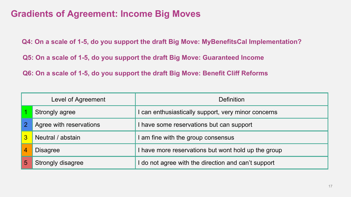### **Gradients of Agreement: Income Big Moves**

**Q4: On a scale of 1-5, do you support the draft Big Move: MyBenefitsCal Implementation?**

**Q5: On a scale of 1-5, do you support the draft Big Move: Guaranteed Income**

**Q6: On a scale of 1-5, do you support the draft Big Move: Benefit Cliff Reforms**

| Level of Agreement |                          | <b>Definition</b>                                   |  |
|--------------------|--------------------------|-----------------------------------------------------|--|
|                    | Strongly agree           | can enthusiastically support, very minor concerns   |  |
| $\overline{2}$     | Agree with reservations  | have some reservations but can support              |  |
| 3                  | Neutral / abstain        | am fine with the group consensus                    |  |
|                    | <b>Disagree</b>          | I have more reservations but wont hold up the group |  |
|                    | <b>Strongly disagree</b> | do not agree with the direction and can't support   |  |